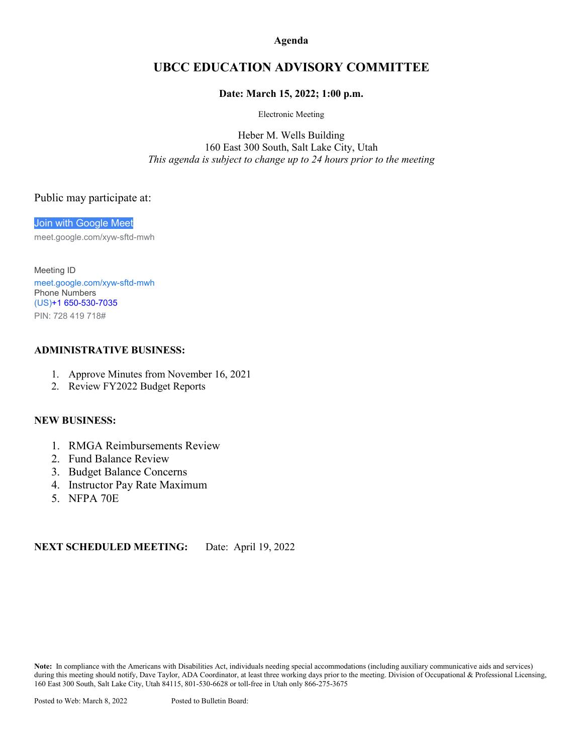**Agenda**

## **UBCC EDUCATION ADVISORY COMMITTEE**

### **Date: March 15, 2022; 1:00 p.m.**

Electronic Meeting

Heber M. Wells Building 160 East 300 South, Salt Lake City, Utah *This agenda is subject to change up to 24 hours prior to the meeting*

### Public may participate at:

[Join with Google Meet](https://meet.google.com/xyw-sftd-mwh?hs=122&authuser=0) meet.google.com/xyw-sftd-mwh

Meeting ID [meet.google.com/xyw-sftd-mwh](https://meet.google.com/xyw-sftd-mwh?hs=122&authuser=0) Phone Numbers (US)+1 [650-530-7035](tel:%E2%80%AA+1%20650-530-7035%E2%80%AC) PIN: 728 419 718#

### **ADMINISTRATIVE BUSINESS:**

- 1. Approve Minutes from November 16, 2021
- 2. Review FY2022 Budget Reports

#### **NEW BUSINESS:**

- 1. RMGA Reimbursements Review
- 2. Fund Balance Review
- 3. Budget Balance Concerns
- 4. Instructor Pay Rate Maximum
- 5. NFPA 70E

**NEXT SCHEDULED MEETING:** Date: April 19, 2022

**Note:** In compliance with the Americans with Disabilities Act, individuals needing special accommodations (including auxiliary communicative aids and services) during this meeting should notify, Dave Taylor, ADA Coordinator, at least three working days prior to the meeting. Division of Occupational & Professional Licensing, 160 East 300 South, Salt Lake City, Utah 84115, 801-530-6628 or toll-free in Utah only 866-275-3675